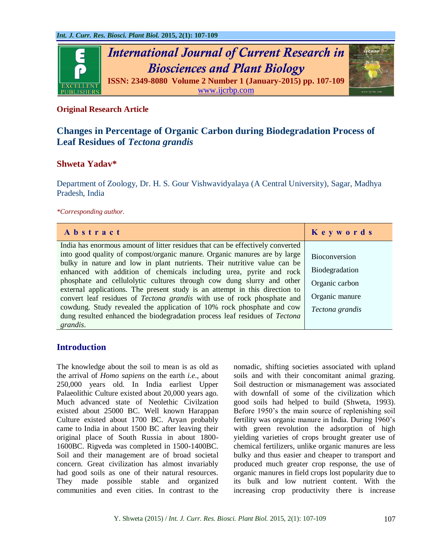

### **Original Research Article**

# **Changes in Percentage of Organic Carbon during Biodegradation Process of Leaf Residues of** *Tectona grandis*

## **Shweta Yadav\***

Department of Zoology, Dr. H. S. Gour Vishwavidyalaya (A Central University), Sagar, Madhya Pradesh, India

#### *\*Corresponding author.*

| Abstract                                                                                                                                             | Keywords             |
|------------------------------------------------------------------------------------------------------------------------------------------------------|----------------------|
| India has enormous amount of litter residues that can be effectively converted                                                                       |                      |
| into good quality of compost/organic manure. Organic manures are by large                                                                            | <b>Bioconversion</b> |
| bulky in nature and low in plant nutrients. Their nutritive value can be                                                                             | Biodegradation       |
| enhanced with addition of chemicals including urea, pyrite and rock                                                                                  |                      |
| phosphate and cellulolytic cultures through cow dung slurry and other<br>external applications. The present study is an attempt in this direction to | Organic carbon       |
| convert leaf residues of <i>Tectona grandis</i> with use of rock phosphate and                                                                       | Organic manure       |
| cowdung. Study revealed the application of 10% rock phosphate and cow                                                                                | Tectona grandis      |
| dung resulted enhanced the biodegradation process leaf residues of Tectona                                                                           |                      |
| grandis.                                                                                                                                             |                      |

#### **Introduction**

The knowledge about the soil to mean is as old as the arrival of *Homo sapiens* on the earth *i.e*., about 250,000 years old. In India earliest Upper Palaeolithic Culture existed about 20,000 years ago. Much advanced state of Neolethic Civilzation existed about 25000 BC. Well known Harappan Culture existed about 1700 BC. Aryan probably came to India in about 1500 BC after leaving their original place of South Russia in about 1800- 1600BC. Rigveda was completed in 1500-1400BC. Soil and their management are of broad societal concern. Great civilization has almost invariably had good soils as one of their natural resources. They made possible stable and organized communities and even cities. In contrast to the nomadic, shifting societies associated with upland soils and with their concomitant animal grazing. Soil destruction or mismanagement was associated with downfall of some of the civilization which good soils had helped to build (Shweta, 1993). Before 1950's the main source of replenishing soil fertility was organic manure in India. During 1960's with green revolution the adsorption of high yielding varieties of crops brought greater use of chemical fertilizers, unlike organic manures are less bulky and thus easier and cheaper to transport and produced much greater crop response, the use of organic manures in field crops lost popularity due to its bulk and low nutrient content. With the increasing crop productivity there is increase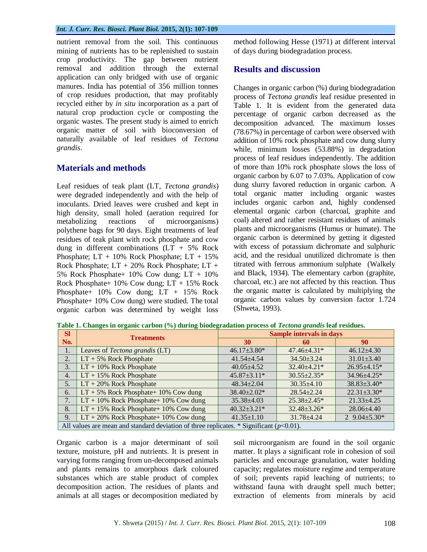nutrient removal from the soil. This continuous mining of nutrients has to be replenished to sustain crop productivity. The gap between nutrient removal and addition through the external application can only bridged with use of organic manures. India has potential of 356 million tonnes of crop residues production, that may profitably recycled either by *in situ* incorporation as a part of natural crop production cycle or composting the organic wastes. The present study is aimed to enrich organic matter of soil with bioconversion of naturally available of leaf residues of *Tectona grandis*.

## **Materials and methods**

Leaf residues of teak plant (LT, *Tectona grandis*) were degraded independently and with the help of inoculants. Dried leaves were crushed and kept in high density, small holed (aeration required for metabolizing reactions of microorganisms) polythene bags for 90 days. Eight treatments of leaf residues of teak plant with rock phosphate and cow dung in different combinations  $(LT + 5\%$  Rock Phosphate;  $LT + 10\%$  Rock Phosphate;  $LT + 15\%$ Rock Phosphate; LT + 20% Rock Phosphate; LT + 5% Rock Phosphate+ 10% Cow dung; LT + 10% Rock Phosphate+ 10% Cow dung; LT + 15% Rock Phosphate+ 10% Cow dung; LT + 15% Rock Phosphate+ 10% Cow dung) were studied. The total organic carbon was determined by weight loss

method following Hesse (1971) at different interval of days during biodegradation process.

#### **Results and discussion**

Changes in organic carbon (%) during biodegradation process of *Tectona grandis* leaf residue presented in Table 1. It is evident from the generated data percentage of organic carbon decreased as the decomposition advanced. The maximum losses (78.67%) in percentage of carbon were observed with addition of 10% rock phosphate and cow dung slurry while, minimum losses (53.88%) in degradation process of leaf residues independently. The addition of more than 10% rock phosphate slows the loss of organic carbon by 6.07 to 7.03%. Application of cow dung slurry favored reduction in organic carbon. A total organic matter including organic wastes includes organic carbon and, highly condensed elemental organic carbon (charcoal, graphite and coal) altered and rather resistant residues of animals plants and microorganisms (Humus or humate). The organic carbon is determined by getting it digested with excess of potassium dichromate and sulphuric acid, and the residual unutilized dichromate is then titrated with ferrous ammonium sulphate (Walkely and Black, 1934). The elementary carbon (graphite, charcoal, etc.) are not affected by this reaction. Thus the organic matter is calculated by multiplying the organic carbon values by conversion factor 1.724 (Shweta, 1993).

| <b>Sl</b>                                                                                  | <b>Treatments</b>                        | <b>Sample intervals in days</b> |                    |                     |
|--------------------------------------------------------------------------------------------|------------------------------------------|---------------------------------|--------------------|---------------------|
| No.                                                                                        |                                          | <b>30</b>                       | 60                 | 90                  |
| 1.                                                                                         | Leaves of Tectona grandis (LT)           | $46.17 \pm 3.80^*$              | $47.46 \pm 4.31*$  | $46.12{\pm}4.30$    |
| 2.                                                                                         | $LT + 5\%$ Rock Phosphate                | $41.54 \pm 4.54$                | $34.50 \pm 3.24$   | $31.01 \pm 3.40$    |
| 3.                                                                                         | $LT + 10\%$ Rock Phosphate               | $40.05 \pm 4.52$                | $32.40 \pm 4.21$ * | $26.95 \pm 4.15*$   |
| 4.                                                                                         | $LT + 15\%$ Rock Phosphate               | $45.87 \pm 3.11*$               | $30.55 \pm 2.35^*$ | 34.96±4.25*         |
| 5.                                                                                         | $LT + 20\%$ Rock Phosphate               | $48.34 \pm 2.04$                | $30.35 \pm 4.10$   | $38.83 \pm 3.40^*$  |
| 6.                                                                                         | $LT + 5\%$ Rock Phosphate+ 10% Cow dung  | 38.40±2.02*                     | $28.54 + 2.24$     | $22.31 \pm 3.30*$   |
| 7.                                                                                         | $LT + 10\%$ Rock Phosphate+ 10% Cow dung | $35.38 \pm 4.03$                | $25.38 \pm 2.45*$  | $21.33 \pm 4.25$    |
| 8.                                                                                         | $LT + 15\%$ Rock Phosphate+ 10% Cow dung | $40.32 \pm 3.21^*$              | $32.48 \pm 3.26^*$ | $28.06 \pm 4.40$    |
| 9.                                                                                         | $LT + 20\%$ Rock Phosphate+ 10% Cow dung | $41.35 \pm 1.10$                | $31.78 \pm 4.24$   | 2 $9.04 \pm 5.30^*$ |
| All values are mean and standard deviation of three replicates. * Significant $(p<0.01)$ . |                                          |                                 |                    |                     |

**Table 1. Changes in organic carbon (%) during biodegradation process of** *Tectona grandis* **leaf residues.**

Organic carbon is a major determinant of soil texture, moisture, pH and nutrients. It is present in varying forms ranging from un-decomposed animals and plants remains to amorphous dark coloured substances which are stable product of complex decomposition action. The residues of plants and animals at all stages or decomposition mediated by soil microorganism are found in the soil organic matter. It plays a significant role in cohesion of soil particles and encourage granulation, water holding capacity; regulates moisture regime and temperature of soil; prevents rapid leaching of nutrients; to withstand fauna with draught spell much better; extraction of elements from minerals by acid